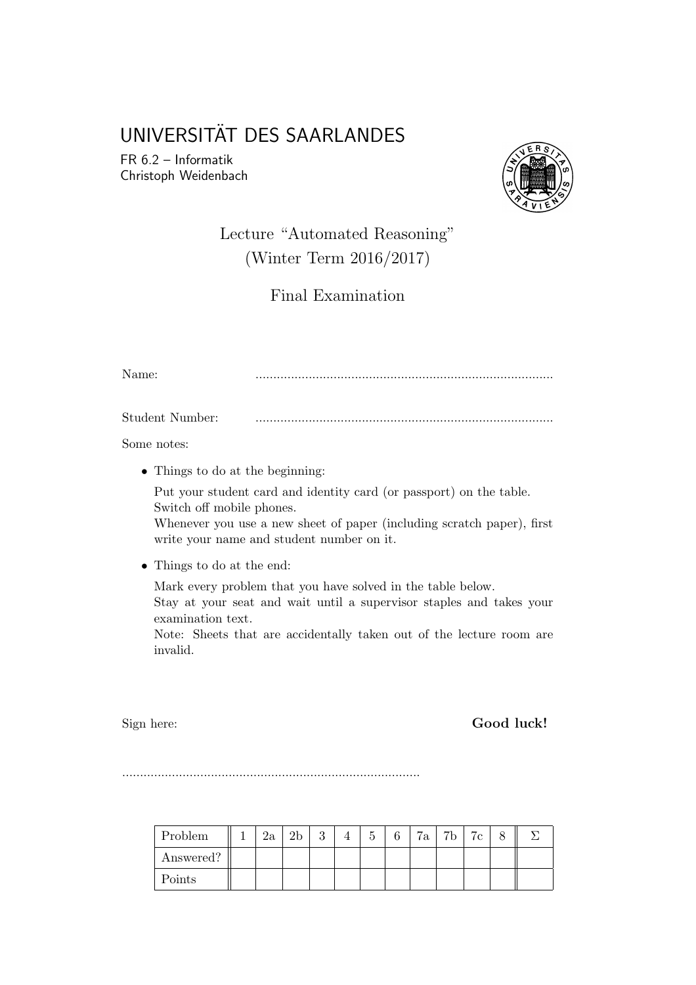# UNIVERSITÄT DES SAARLANDES

FR 6.2 – Informatik Christoph Weidenbach



## Lecture "Automated Reasoning" (Winter Term 2016/2017)

Final Examination

Name: ....................................................................................

Student Number: ....................................................................................

Some notes:

• Things to do at the beginning:

Put your student card and identity card (or passport) on the table. Switch off mobile phones.

Whenever you use a new sheet of paper (including scratch paper), first write your name and student number on it.

• Things to do at the end:

Mark every problem that you have solved in the table below.

Stay at your seat and wait until a supervisor staples and takes your examination text.

Note: Sheets that are accidentally taken out of the lecture room are invalid.

Sign here: Good luck!

....................................................................................

| Problem   | 2a | ച | υ | r | 7a | 7b | 7c |  |
|-----------|----|---|---|---|----|----|----|--|
| Answered? |    |   |   |   |    |    |    |  |
| Points    |    |   |   |   |    |    |    |  |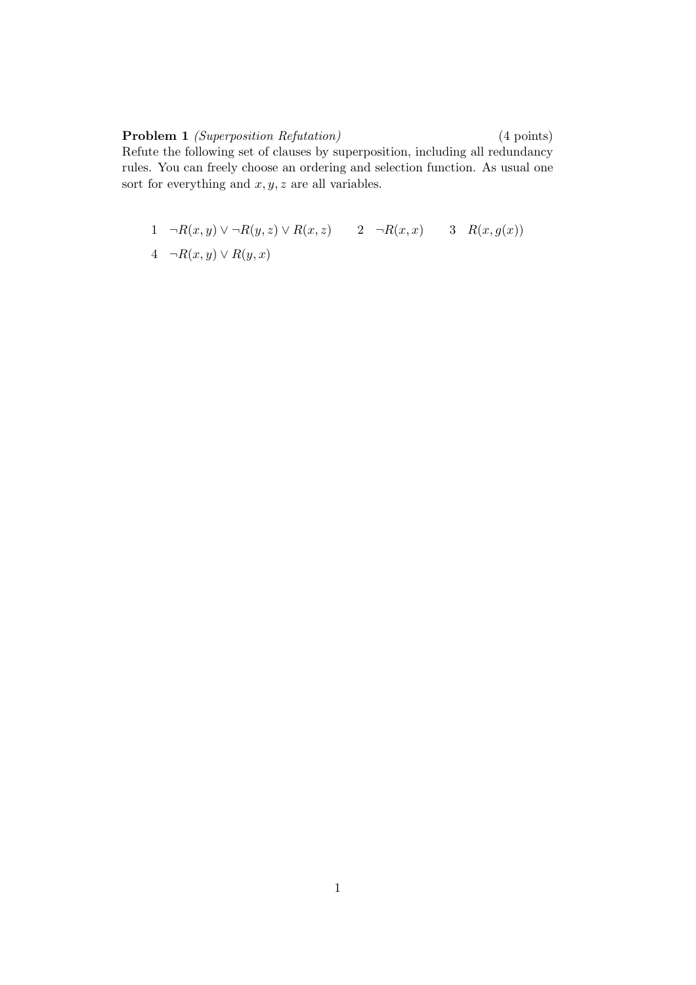Problem 1 *(Superposition Refutation)* (4 points) Refute the following set of clauses by superposition, including all redundancy rules. You can freely choose an ordering and selection function. As usual one sort for everything and  $x, y, z$  are all variables.

$$
1 \quad \neg R(x,y) \lor \neg R(y,z) \lor R(x,z) \qquad 2 \quad \neg R(x,x) \qquad 3 \quad R(x,g(x))
$$
  

$$
4 \quad \neg R(x,y) \lor R(y,x)
$$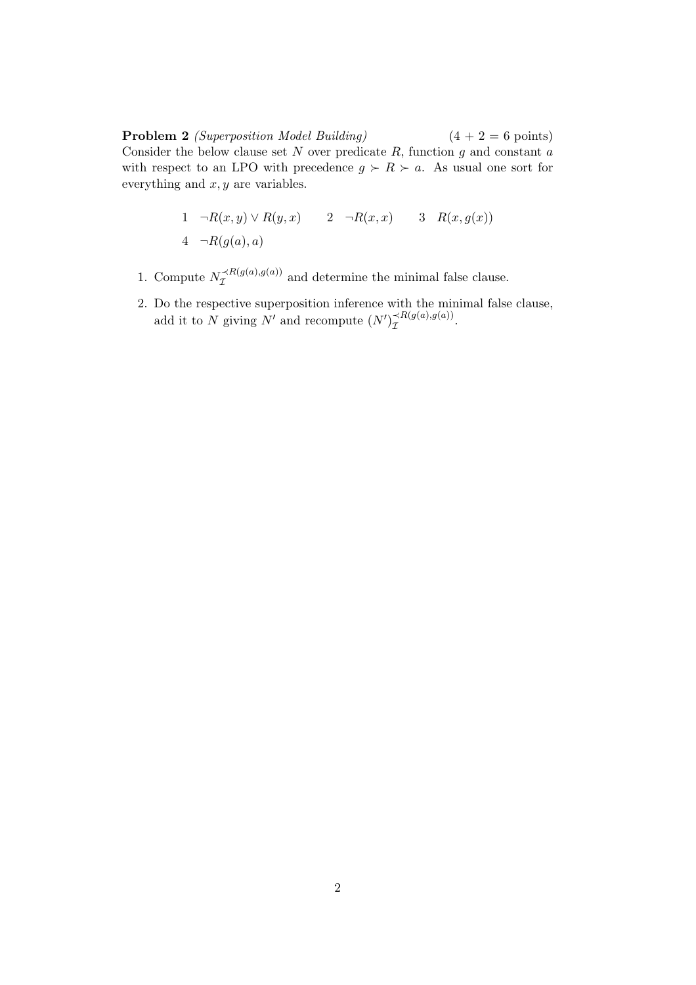**Problem 2** (Superposition Model Building)  $(4 + 2 = 6 \text{ points})$ Consider the below clause set  $N$  over predicate  $R$ , function  $g$  and constant  $a$ with respect to an LPO with precedence  $g \succ R \succ a$ . As usual one sort for everything and  $x, y$  are variables.

$$
1 \quad \neg R(x,y) \lor R(y,x) \qquad 2 \quad \neg R(x,x) \qquad 3 \quad R(x,g(x))
$$
  

$$
4 \quad \neg R(g(a),a)
$$

- 1. Compute  $N_{\mathcal{I}}^{\prec R(g(a),g(a))}$  and determine the minimal false clause.
- 2. Do the respective superposition inference with the minimal false clause, add it to N giving N' and recompute  $(N')_{\mathcal{I}}^{\prec R(g(a),g(a))}$ .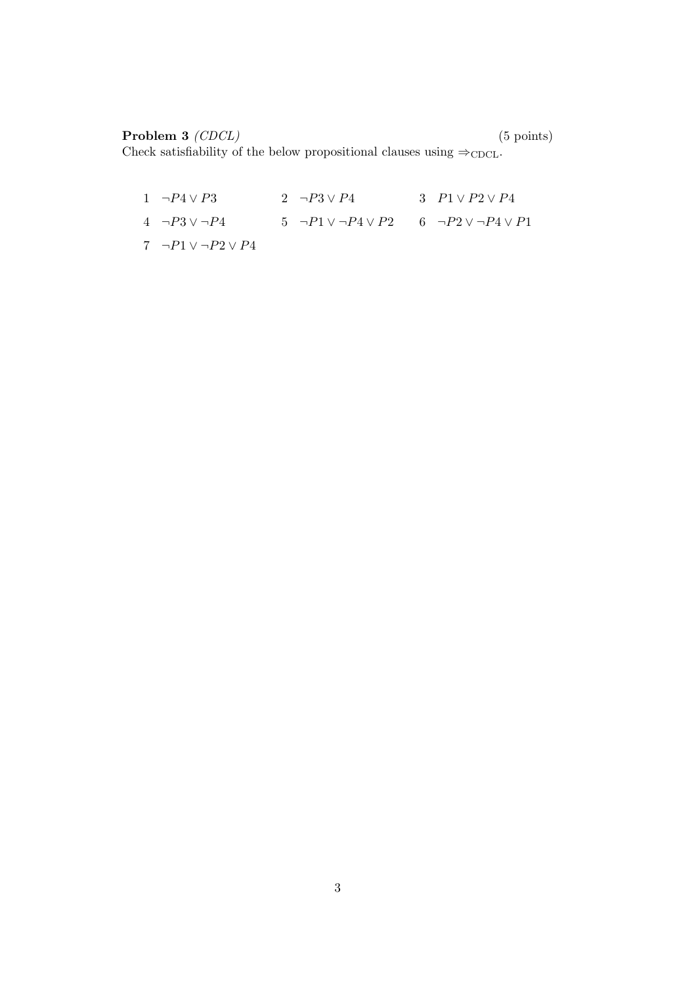### Problem 3 (CDCL) (5 points)

Check satisfiability of the below propositional clauses using  $\Rightarrow$ CDCL.

1  $\neg P4 \lor P3$  2  $\neg P3 \lor P4$  3  $P1 \lor P2 \lor P4$ 4 ¬ $P3 \vee \neg P4$  5 ¬ $P1 \vee \neg P4 \vee P2$  6 ¬ $P2 \vee \neg P4 \vee P1$ 7  $\neg P1 \lor \neg P2 \lor P4$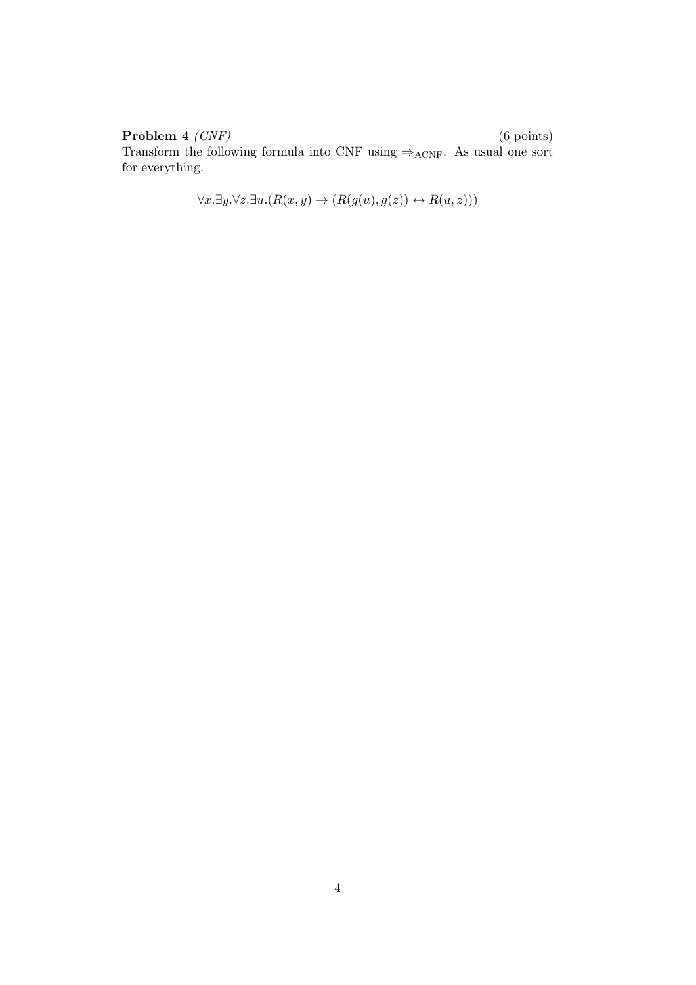**Problem 4**  $(CNF)$  (6 points) Transform the following formula into CNF using ⇒<sub>ACNF</sub>. As usual one sort for everything.

$$
\forall x. \exists y. \forall z. \exists u. (R(x, y) \rightarrow (R(g(u), g(z)) \leftrightarrow R(u, z)))
$$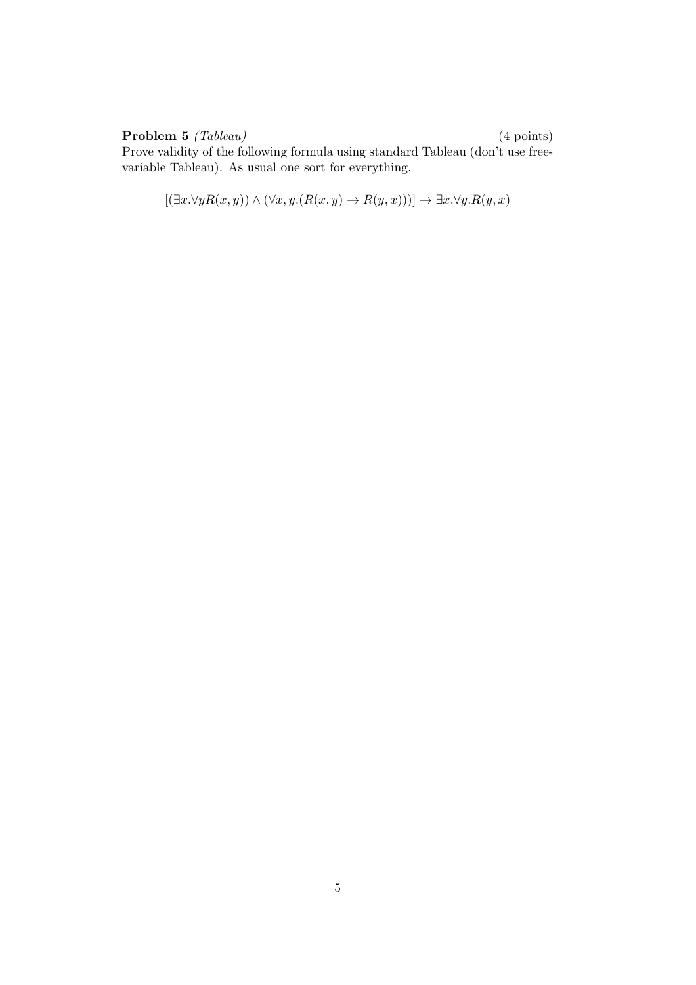### Problem 5 (Tableau) (4 points)

Prove validity of the following formula using standard Tableau (don't use freevariable Tableau). As usual one sort for everything.

$$
[(\exists x.\forall y R(x,y)) \land (\forall x, y. (R(x,y) \to R(y,x)))] \to \exists x. \forall y. R(y,x)
$$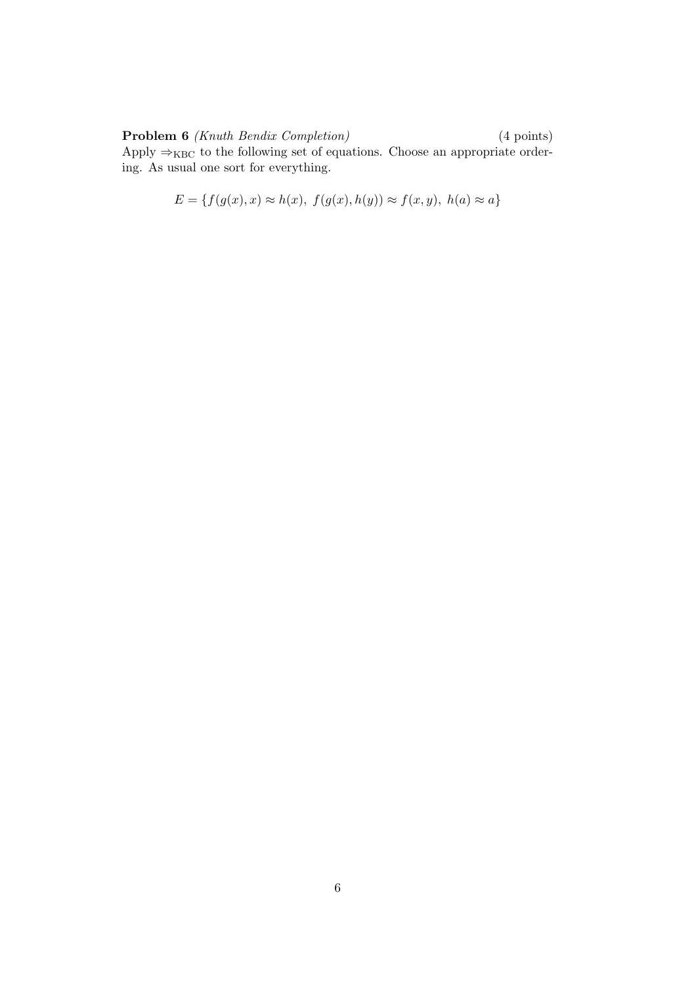### Problem 6 *(Knuth Bendix Completion)* (4 points)

Apply  $\Rightarrow_{KBC}$  to the following set of equations. Choose an appropriate ordering. As usual one sort for everything.

$$
E = \{ f(g(x), x) \approx h(x), f(g(x), h(y)) \approx f(x, y), h(a) \approx a \}
$$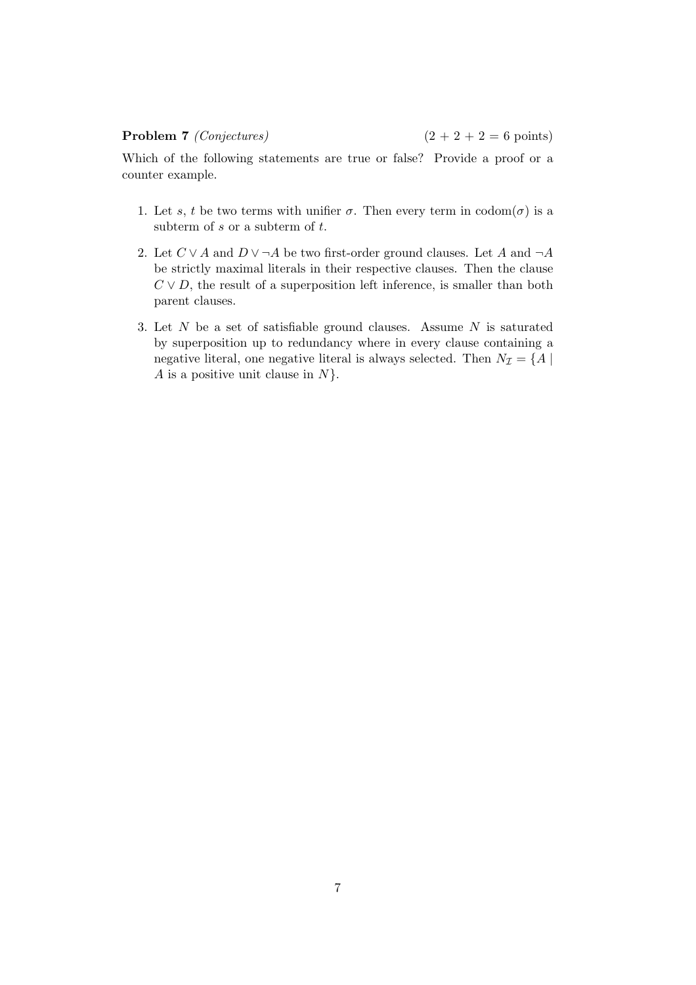Which of the following statements are true or false? Provide a proof or a counter example.

- 1. Let s, t be two terms with unifier  $\sigma$ . Then every term in  $codom(\sigma)$  is a subterm of  $s$  or a subterm of  $t$ .
- 2. Let  $C \vee A$  and  $D \vee \neg A$  be two first-order ground clauses. Let A and  $\neg A$ be strictly maximal literals in their respective clauses. Then the clause  $C \vee D$ , the result of a superposition left inference, is smaller than both parent clauses.
- 3. Let  $N$  be a set of satisfiable ground clauses. Assume  $N$  is saturated by superposition up to redundancy where in every clause containing a negative literal, one negative literal is always selected. Then  $N_{\mathcal{I}} = \{A \mid$  $A$  is a positive unit clause in  $N$ .